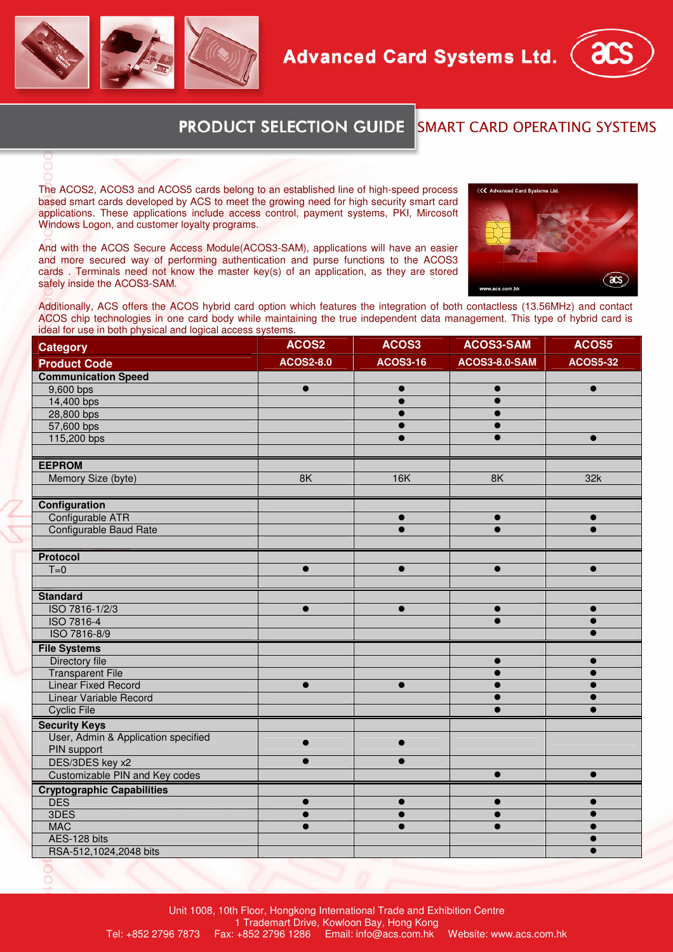





## **PRODUCT SELECTION GUIDE** SMART CARD OPERATING SYSTEMS

The ACOS2, ACOS3 and ACOS5 cards belong to an established line of high-speed process based smart cards developed by ACS to meet the growing need for high security smart card applications. These applications include access control, payment systems, PKI, Mircosoft Windows Logon, and customer loyalty programs..

And with the ACOS Secure Access Module(ACOS3-SAM), applications will have an easier and more secured way of performing authentication and purse functions to the ACOS3 cards . Terminals need not know the master key(s) of an application, as they are stored safely inside the ACOS3-SAM.



Additionally, ACS offers the ACOS hybrid card option which features the integration of both contactless (13.56MHz) and contact ACOS chip technologies in one card body while maintaining the true independent data management. This type of hybrid card is ideal for use in both physical and logical access systems.

| <b>Category</b>                     | ACOS2            | ACOS3           | <b>ACOS3-SAM</b>     | ACOS5           |
|-------------------------------------|------------------|-----------------|----------------------|-----------------|
| <b>Product Code</b>                 | <b>ACOS2-8.0</b> | <b>ACOS3-16</b> | <b>ACOS3-8.0-SAM</b> | <b>ACOS5-32</b> |
| <b>Communication Speed</b>          |                  |                 |                      |                 |
| 9,600 bps                           | $\bullet$        | $\bullet$       | $\bullet$            | $\bullet$       |
| 14,400 bps                          |                  |                 | ●                    |                 |
| 28,800 bps                          |                  |                 |                      |                 |
| 57,600 bps                          |                  |                 | $\bullet$            |                 |
| 115,200 bps                         |                  |                 |                      |                 |
|                                     |                  |                 |                      |                 |
| <b>EEPROM</b>                       |                  |                 |                      |                 |
| Memory Size (byte)                  | 8K               | 16K             | 8K                   | 32k             |
|                                     |                  |                 |                      |                 |
| Configuration                       |                  |                 |                      |                 |
| Configurable ATR                    |                  | $\bullet$       | $\bullet$            | $\bullet$       |
| Configurable Baud Rate              |                  | $\bullet$       | $\bullet$            | $\bullet$       |
|                                     |                  |                 |                      |                 |
| <b>Protocol</b>                     |                  |                 |                      |                 |
| $T=0$                               | $\bullet$        | $\bullet$       | $\bullet$            | $\bullet$       |
|                                     |                  |                 |                      |                 |
| <b>Standard</b>                     |                  |                 |                      |                 |
| ISO 7816-1/2/3                      | $\bullet$        | $\bullet$       | $\bullet$            | $\bullet$       |
| ISO 7816-4                          |                  |                 | $\bullet$            | $\bullet$       |
| ISO 7816-8/9                        |                  |                 |                      |                 |
| <b>File Systems</b>                 |                  |                 |                      |                 |
| Directory file                      |                  |                 | $\bullet$            | $\bullet$       |
| <b>Transparent File</b>             |                  |                 |                      |                 |
| <b>Linear Fixed Record</b>          | $\bullet$        | $\bullet$       | $\bullet$            | Ω               |
| Linear Variable Record              |                  |                 | $\bullet$            |                 |
| <b>Cyclic File</b>                  |                  |                 |                      |                 |
| <b>Security Keys</b>                |                  |                 |                      |                 |
| User, Admin & Application specified | $\bullet$        | $\bullet$       |                      |                 |
| PIN support                         |                  |                 |                      |                 |
| DES/3DES key x2                     | $\bullet$        | $\bullet$       |                      |                 |
| Customizable PIN and Key codes      |                  |                 | $\bullet$            | $\bullet$       |
| <b>Cryptographic Capabilities</b>   |                  |                 |                      |                 |
| <b>DES</b>                          | $\bullet$        | $\bullet$       |                      |                 |
| 3DES                                | c                |                 |                      |                 |
| <b>MAC</b>                          |                  |                 | ●                    |                 |
| AES-128 bits                        |                  |                 |                      |                 |
| RSA-512,1024,2048 bits              |                  |                 |                      | ●               |